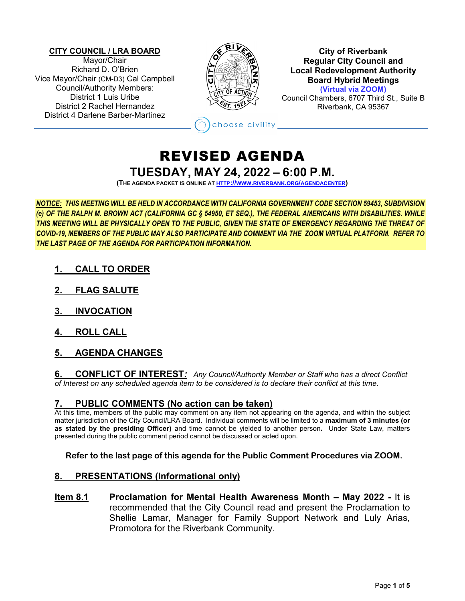#### **CITY COUNCIL / LRA BOARD**

Mayor/Chair Richard D. O'Brien Vice Mayor/Chair (CM-D3) Cal Campbell Council/Authority Members: District 1 Luis Uribe District 2 Rachel Hernandez District 4 Darlene Barber-Martinez



#### **City of Riverbank Regular City Council and Local Redevelopment Authority Board Hybrid Meetings (Virtual via ZOOM)**

Council Chambers, 6707 Third St., Suite B Riverbank, CA 95367

hoose civility

# REVISED AGENDA **TUESDAY, MAY 24, 2022 – 6:00 P.M.**

**(THE AGENDA PACKET IS ONLINE A[T HTTP://WWW.RIVERBANK.ORG/AGENDACENTER\)](http://www.riverbank.org/agendacenter)**

*NOTICE: THIS MEETING WILL BE HELD IN ACCORDANCE WITH CALIFORNIA GOVERNMENT CODE SECTION 59453, SUBDIVISION (e) OF THE RALPH M. BROWN ACT (CALIFORNIA GC § 54950, ET SEQ.), THE FEDERAL AMERICANS WITH DISABILITIES. WHILE THIS MEETING WILL BE PHYSICALLY OPEN TO THE PUBLIC, GIVEN THE STATE OF EMERGENCY REGARDING THE THREAT OF COVID-19, MEMBERS OF THE PUBLIC MAY ALSO PARTICIPATE AND COMMENT VIA THE ZOOM VIRTUAL PLATFORM. REFER TO THE LAST PAGE OF THE AGENDA FOR PARTICIPATION INFORMATION.*

- **1. CALL TO ORDER**
- **2. FLAG SALUTE**
- **3. INVOCATION**
- **4. ROLL CALL**
- **5. AGENDA CHANGES**

**6. CONFLICT OF INTEREST***: Any Council/Authority Member or Staff who has a direct Conflict of Interest on any scheduled agenda item to be considered is to declare their conflict at this time.*

# **7. PUBLIC COMMENTS (No action can be taken)**

At this time, members of the public may comment on any item not appearing on the agenda, and within the subject matter jurisdiction of the City Council/LRA Board. Individual comments will be limited to a **maximum of 3 minutes (or as stated by the presiding Officer)** and time cannot be yielded to another person**.** Under State Law, matters presented during the public comment period cannot be discussed or acted upon.

**Refer to the last page of this agenda for the Public Comment Procedures via ZOOM.**

## **8. PRESENTATIONS (Informational only)**

**Item 8.1 Proclamation for Mental Health Awareness Month – May 2022 -** It is recommended that the City Council read and present the Proclamation to Shellie Lamar, Manager for Family Support Network and Luly Arias, Promotora for the Riverbank Community.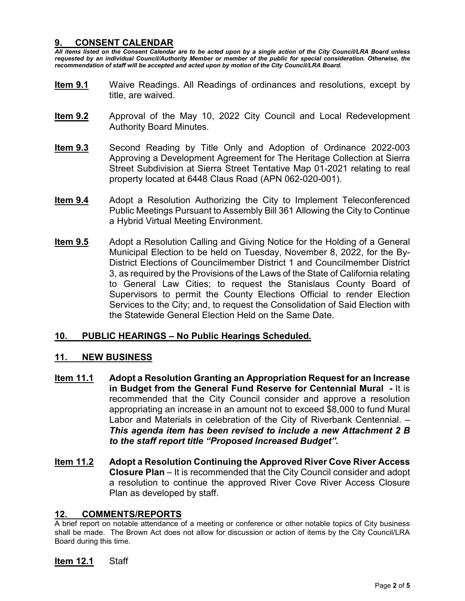# **9. CONSENT CALENDAR**

*All items listed on the Consent Calendar are to be acted upon by a single action of the City Council/LRA Board unless requested by an individual Council/Authority Member or member of the public for special consideration. Otherwise, the recommendation of staff will be accepted and acted upon by motion of the City Council/LRA Board.*

- **Item 9.1** Waive Readings. All Readings of ordinances and resolutions, except by title, are waived.
- **Item 9.2** Approval of the May 10, 2022 City Council and Local Redevelopment Authority Board Minutes.
- **Item 9.3** Second Reading by Title Only and Adoption of Ordinance 2022-003 Approving a Development Agreement for The Heritage Collection at Sierra Street Subdivision at Sierra Street Tentative Map 01-2021 relating to real property located at 6448 Claus Road (APN 062-020-001).
- **Item 9.4** Adopt a Resolution Authorizing the City to Implement Teleconferenced Public Meetings Pursuant to Assembly Bill 361 Allowing the City to Continue a Hybrid Virtual Meeting Environment.
- **Item 9.5** Adopt a Resolution Calling and Giving Notice for the Holding of a General Municipal Election to be held on Tuesday, November 8, 2022, for the By-District Elections of Councilmember District 1 and Councilmember District 3, as required by the Provisions of the Laws of the State of California relating to General Law Cities; to request the Stanislaus County Board of Supervisors to permit the County Elections Official to render Election Services to the City; and, to request the Consolidation of Said Election with the Statewide General Election Held on the Same Date.

# **10. PUBLIC HEARINGS – No Public Hearings Scheduled.**

## **11. NEW BUSINESS**

- **Item 11.1 Adopt a Resolution Granting an Appropriation Request for an Increase in Budget from the General Fund Reserve for Centennial Mural -** It is recommended that the City Council consider and approve a resolution appropriating an increase in an amount not to exceed \$8,000 to fund Mural Labor and Materials in celebration of the City of Riverbank Centennial. – *This agenda item has been revised to include a new Attachment 2 B to the staff report title "Proposed Increased Budget".*
- **Item 11.2 Adopt a Resolution Continuing the Approved River Cove River Access Closure Plan** – It is recommended that the City Council consider and adopt a resolution to continue the approved River Cove River Access Closure Plan as developed by staff.

## **12. COMMENTS/REPORTS**

A brief report on notable attendance of a meeting or conference or other notable topics of City business shall be made. The Brown Act does not allow for discussion or action of items by the City Council/LRA Board during this time.

## **Item 12.1** Staff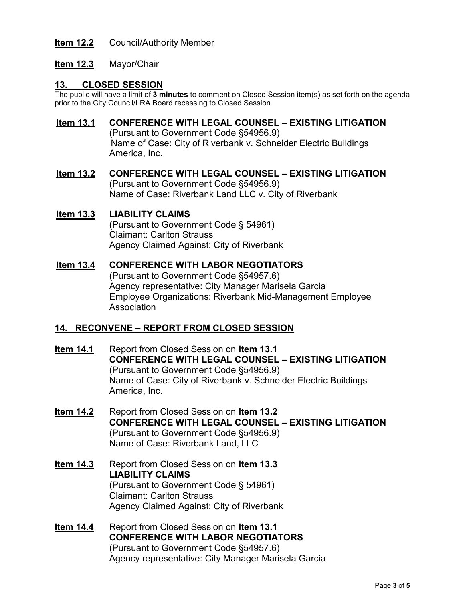# **Item 12.2** Council/Authority Member

# **Item 12.3** Mayor/Chair

## **13. CLOSED SESSION**

The public will have a limit of **3 minutes** to comment on Closed Session item(s) as set forth on the agenda prior to the City Council/LRA Board recessing to Closed Session.

## **Item 13.1 CONFERENCE WITH LEGAL COUNSEL – EXISTING LITIGATION**

(Pursuant to Government Code §54956.9) Name of Case: City of Riverbank v. Schneider Electric Buildings America, Inc.

## **Item 13.2 CONFERENCE WITH LEGAL COUNSEL – EXISTING LITIGATION** (Pursuant to Government Code §54956.9) Name of Case: Riverbank Land LLC v. City of Riverbank

# **Item 13.3 LIABILITY CLAIMS**

(Pursuant to Government Code § 54961) Claimant: Carlton Strauss Agency Claimed Against: City of Riverbank

## **Item 13.4 CONFERENCE WITH LABOR NEGOTIATORS**

(Pursuant to Government Code §54957.6) Agency representative: City Manager Marisela Garcia Employee Organizations: Riverbank Mid-Management Employee Association

# **14. RECONVENE – REPORT FROM CLOSED SESSION**

- **Item 14.1** Report from Closed Session on **Item 13.1 CONFERENCE WITH LEGAL COUNSEL – EXISTING LITIGATION** (Pursuant to Government Code §54956.9) Name of Case: City of Riverbank v. Schneider Electric Buildings America, Inc.
- **Item 14.2** Report from Closed Session on **Item 13.2 CONFERENCE WITH LEGAL COUNSEL – EXISTING LITIGATION** (Pursuant to Government Code §54956.9) Name of Case: Riverbank Land, LLC
- **Item 14.3** Report from Closed Session on **Item 13.3 LIABILITY CLAIMS** (Pursuant to Government Code § 54961) Claimant: Carlton Strauss Agency Claimed Against: City of Riverbank
- **Item 14.4** Report from Closed Session on **Item 13.1 CONFERENCE WITH LABOR NEGOTIATORS** (Pursuant to Government Code §54957.6) Agency representative: City Manager Marisela Garcia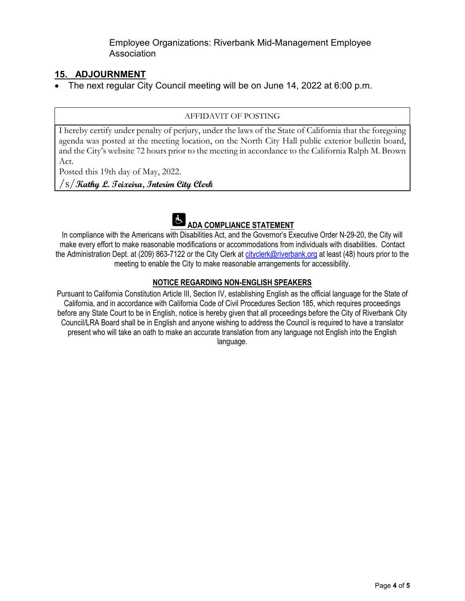Employee Organizations: Riverbank Mid-Management Employee Association

# **15. ADJOURNMENT**

• The next regular City Council meeting will be on June 14, 2022 at 6:00 p.m.

#### AFFIDAVIT OF POSTING

I hereby certify under penalty of perjury, under the laws of the State of California that the foregoing agenda was posted at the meeting location, on the North City Hall public exterior bulletin board, and the City's website 72 hours prior to the meeting in accordance to the California Ralph M. Brown Act.

Posted this 19th day of May, 2022.

/s/**Kathy L. Teixeira, Interim City Clerk**



In compliance with the Americans with Disabilities Act, and the Governor's Executive Order N-29-20, the City will make every effort to make reasonable modifications or accommodations from individuals with disabilities. Contact the Administration Dept. at (209) 863-7122 or the City Clerk at [cityclerk@riverbank.org](mailto:cityclerk@riverbank.org) at least (48) hours prior to the meeting to enable the City to make reasonable arrangements for accessibility.

## **NOTICE REGARDING NON-ENGLISH SPEAKERS**

Pursuant to California Constitution Article III, Section IV, establishing English as the official language for the State of California, and in accordance with California Code of Civil Procedures Section 185, which requires proceedings before any State Court to be in English, notice is hereby given that all proceedings before the City of Riverbank City Council/LRA Board shall be in English and anyone wishing to address the Council is required to have a translator present who will take an oath to make an accurate translation from any language not English into the English language.